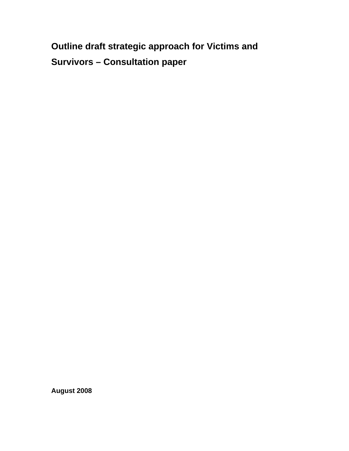**Outline draft strategic approach for Victims and Survivors – Consultation paper** 

**August 2008**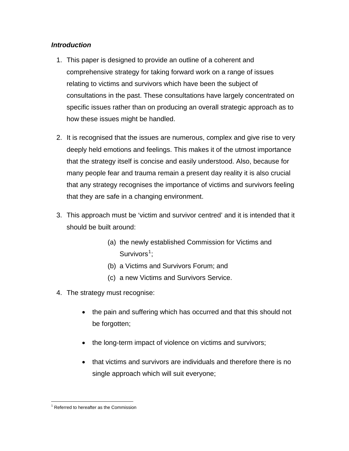# *Introduction*

- 1. This paper is designed to provide an outline of a coherent and comprehensive strategy for taking forward work on a range of issues relating to victims and survivors which have been the subject of consultations in the past. These consultations have largely concentrated on specific issues rather than on producing an overall strategic approach as to how these issues might be handled.
- 2. It is recognised that the issues are numerous, complex and give rise to very deeply held emotions and feelings. This makes it of the utmost importance that the strategy itself is concise and easily understood. Also, because for many people fear and trauma remain a present day reality it is also crucial that any strategy recognises the importance of victims and survivors feeling that they are safe in a changing environment.
- 3. This approach must be 'victim and survivor centred' and it is intended that it should be built around:
	- (a) the newly established Commission for Victims and Survivors<sup>[1](#page-2-0)</sup>;
	- (b) a Victims and Survivors Forum; and
	- (c) a new Victims and Survivors Service.
- 4. The strategy must recognise:
	- the pain and suffering which has occurred and that this should not be forgotten;
	- the long-term impact of violence on victims and survivors;
	- that victims and survivors are individuals and therefore there is no single approach which will suit everyone;

<span id="page-2-0"></span> $\overline{a}$ <sup>1</sup> Referred to hereafter as the Commission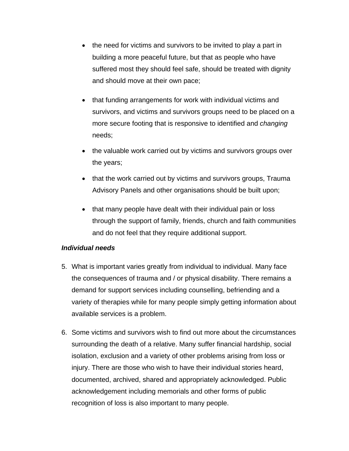- the need for victims and survivors to be invited to play a part in building a more peaceful future, but that as people who have suffered most they should feel safe, should be treated with dignity and should move at their own pace;
- that funding arrangements for work with individual victims and survivors, and victims and survivors groups need to be placed on a more secure footing that is responsive to identified and *changing*  needs;
- the valuable work carried out by victims and survivors groups over the years;
- that the work carried out by victims and survivors groups, Trauma Advisory Panels and other organisations should be built upon;
- that many people have dealt with their individual pain or loss through the support of family, friends, church and faith communities and do not feel that they require additional support.

# *Individual needs*

- 5. What is important varies greatly from individual to individual. Many face the consequences of trauma and / or physical disability. There remains a demand for support services including counselling, befriending and a variety of therapies while for many people simply getting information about available services is a problem.
- 6. Some victims and survivors wish to find out more about the circumstances surrounding the death of a relative. Many suffer financial hardship, social isolation, exclusion and a variety of other problems arising from loss or injury. There are those who wish to have their individual stories heard, documented, archived, shared and appropriately acknowledged. Public acknowledgement including memorials and other forms of public recognition of loss is also important to many people.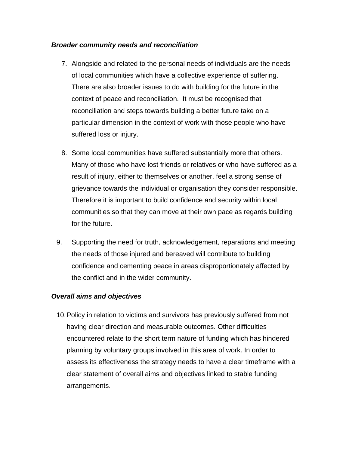### *Broader community needs and reconciliation*

- 7. Alongside and related to the personal needs of individuals are the needs of local communities which have a collective experience of suffering. There are also broader issues to do with building for the future in the context of peace and reconciliation. It must be recognised that reconciliation and steps towards building a better future take on a particular dimension in the context of work with those people who have suffered loss or injury.
- 8. Some local communities have suffered substantially more that others. Many of those who have lost friends or relatives or who have suffered as a result of injury, either to themselves or another, feel a strong sense of grievance towards the individual or organisation they consider responsible. Therefore it is important to build confidence and security within local communities so that they can move at their own pace as regards building for the future.
- 9. Supporting the need for truth, acknowledgement, reparations and meeting the needs of those injured and bereaved will contribute to building confidence and cementing peace in areas disproportionately affected by the conflict and in the wider community.

# *Overall aims and objectives*

10. Policy in relation to victims and survivors has previously suffered from not having clear direction and measurable outcomes. Other difficulties encountered relate to the short term nature of funding which has hindered planning by voluntary groups involved in this area of work. In order to assess its effectiveness the strategy needs to have a clear timeframe with a clear statement of overall aims and objectives linked to stable funding arrangements.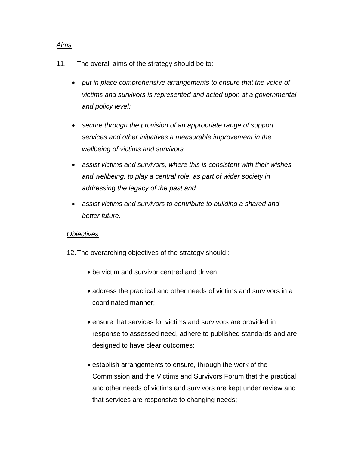#### *Aims*

- 11. The overall aims of the strategy should be to:
	- *put in place comprehensive arrangements to ensure that the voice of victims and survivors is represented and acted upon at a governmental and policy level;*
	- *secure through the provision of an appropriate range of support services and other initiatives a measurable improvement in the wellbeing of victims and survivors*
	- *assist victims and survivors, where this is consistent with their wishes and wellbeing, to play a central role, as part of wider society in addressing the legacy of the past and*
	- *assist victims and survivors to contribute to building a shared and better future.*

# *Objectives*

12. The overarching objectives of the strategy should :-

- be victim and survivor centred and driven;
- address the practical and other needs of victims and survivors in a coordinated manner;
- ensure that services for victims and survivors are provided in response to assessed need, adhere to published standards and are designed to have clear outcomes;
- establish arrangements to ensure, through the work of the Commission and the Victims and Survivors Forum that the practical and other needs of victims and survivors are kept under review and that services are responsive to changing needs;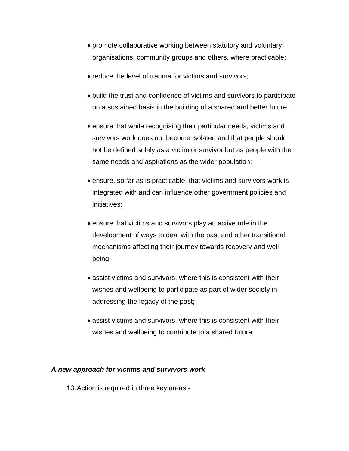- promote collaborative working between statutory and voluntary organisations, community groups and others, where practicable;
- reduce the level of trauma for victims and survivors;
- build the trust and confidence of victims and survivors to participate on a sustained basis in the building of a shared and better future;
- ensure that while recognising their particular needs, victims and survivors work does not become isolated and that people should not be defined solely as a victim or survivor but as people with the same needs and aspirations as the wider population;
- ensure, so far as is practicable, that victims and survivors work is integrated with and can influence other government policies and initiatives;
- ensure that victims and survivors play an active role in the development of ways to deal with the past and other transitional mechanisms affecting their journey towards recovery and well being;
- assist victims and survivors, where this is consistent with their wishes and wellbeing to participate as part of wider society in addressing the legacy of the past;
- assist victims and survivors, where this is consistent with their wishes and wellbeing to contribute to a shared future.

#### *A new approach for victims and survivors work*

13. Action is required in three key areas:-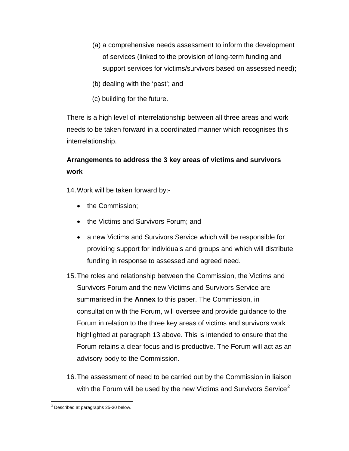- (a) a comprehensive needs assessment to inform the development of services (linked to the provision of long-term funding and support services for victims/survivors based on assessed need);
- (b) dealing with the 'past'; and
- (c) building for the future.

There is a high level of interrelationship between all three areas and work needs to be taken forward in a coordinated manner which recognises this interrelationship.

# **Arrangements to address the 3 key areas of victims and survivors work**

14. Work will be taken forward by:-

- the Commission;
- the Victims and Survivors Forum; and
- a new Victims and Survivors Service which will be responsible for providing support for individuals and groups and which will distribute funding in response to assessed and agreed need.
- 15. The roles and relationship between the Commission, the Victims and Survivors Forum and the new Victims and Survivors Service are summarised in the **Annex** to this paper. The Commission, in consultation with the Forum, will oversee and provide guidance to the Forum in relation to the three key areas of victims and survivors work highlighted at paragraph 13 above. This is intended to ensure that the Forum retains a clear focus and is productive. The Forum will act as an advisory body to the Commission.
- 16. The assessment of need to be carried out by the Commission in liaison with the Forum will be used by the new Victims and Survivors Service<sup>[2](#page-7-0)</sup>

<span id="page-7-0"></span><sup>&</sup>lt;sup>2</sup> Described at paragraphs 25-30 below.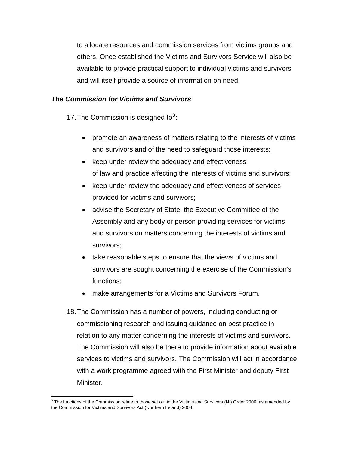to allocate resources and commission services from victims groups and others. Once established the Victims and Survivors Service will also be available to provide practical support to individual victims and survivors and will itself provide a source of information on need.

### *The Commission for Victims and Survivors*

17. The Commission is designed to $3$ :

- promote an awareness of matters relating to the interests of victims and survivors and of the need to safeguard those interests;
- keep under review the adequacy and effectiveness of law and practice affecting the interests of victims and survivors;
- keep under review the adequacy and effectiveness of services provided for victims and survivors;
- advise the Secretary of State, the Executive Committee of the Assembly and any body or person providing services for victims and survivors on matters concerning the interests of victims and survivors;
- take reasonable steps to ensure that the views of victims and survivors are sought concerning the exercise of the Commission's functions;
- make arrangements for a Victims and Survivors Forum.
- 18. The Commission has a number of powers, including conducting or commissioning research and issuing guidance on best practice in relation to any matter concerning the interests of victims and survivors. The Commission will also be there to provide information about available services to victims and survivors. The Commission will act in accordance with a work programme agreed with the First Minister and deputy First Minister.

<span id="page-8-0"></span> $\overline{a}$  $3$  The functions of the Commission relate to those set out in the Victims and Survivors (NI) Order 2006 as amended by the Commission for Victims and Survivors Act (Northern Ireland) 2008.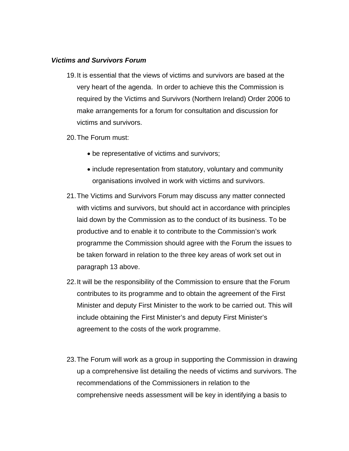#### *Victims and Survivors Forum*

- 19. It is essential that the views of victims and survivors are based at the very heart of the agenda. In order to achieve this the Commission is required by the Victims and Survivors (Northern Ireland) Order 2006 to make arrangements for a forum for consultation and discussion for victims and survivors.
- 20. The Forum must:
	- be representative of victims and survivors;
	- include representation from statutory, voluntary and community organisations involved in work with victims and survivors.
- 21. The Victims and Survivors Forum may discuss any matter connected with victims and survivors, but should act in accordance with principles laid down by the Commission as to the conduct of its business. To be productive and to enable it to contribute to the Commission's work programme the Commission should agree with the Forum the issues to be taken forward in relation to the three key areas of work set out in paragraph 13 above.
- 22. It will be the responsibility of the Commission to ensure that the Forum contributes to its programme and to obtain the agreement of the First Minister and deputy First Minister to the work to be carried out. This will include obtaining the First Minister's and deputy First Minister's agreement to the costs of the work programme.
- 23. The Forum will work as a group in supporting the Commission in drawing up a comprehensive list detailing the needs of victims and survivors. The recommendations of the Commissioners in relation to the comprehensive needs assessment will be key in identifying a basis to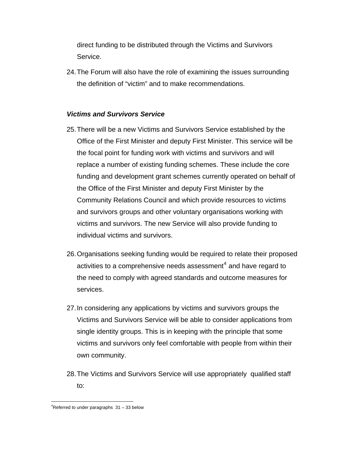direct funding to be distributed through the Victims and Survivors Service.

24. The Forum will also have the role of examining the issues surrounding the definition of "victim" and to make recommendations.

# *Victims and Survivors Service*

- 25. There will be a new Victims and Survivors Service established by the Office of the First Minister and deputy First Minister. This service will be the focal point for funding work with victims and survivors and will replace a number of existing funding schemes. These include the core funding and development grant schemes currently operated on behalf of the Office of the First Minister and deputy First Minister by the Community Relations Council and which provide resources to victims and survivors groups and other voluntary organisations working with victims and survivors. The new Service will also provide funding to individual victims and survivors.
- 26. Organisations seeking funding would be required to relate their proposed activities to a comprehensive needs assessment $^{\rm 4}$  $^{\rm 4}$  $^{\rm 4}$  and have regard to the need to comply with agreed standards and outcome measures for services.
- 27. In considering any applications by victims and survivors groups the Victims and Survivors Service will be able to consider applications from single identity groups. This is in keeping with the principle that some victims and survivors only feel comfortable with people from within their own community.
- 28. The Victims and Survivors Service will use appropriately qualified staff to:

 $\overline{a}$ 

<span id="page-10-0"></span> $4$ Referred to under paragraphs  $31 - 33$  below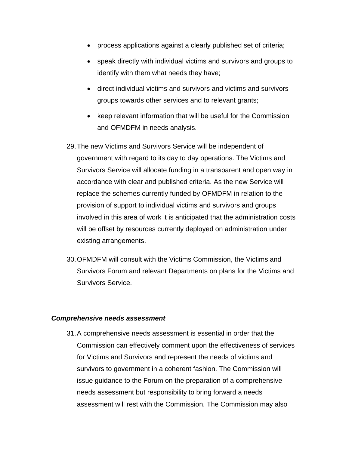- process applications against a clearly published set of criteria;
- speak directly with individual victims and survivors and groups to identify with them what needs they have;
- direct individual victims and survivors and victims and survivors groups towards other services and to relevant grants;
- keep relevant information that will be useful for the Commission and OFMDFM in needs analysis.
- 29. The new Victims and Survivors Service will be independent of government with regard to its day to day operations. The Victims and Survivors Service will allocate funding in a transparent and open way in accordance with clear and published criteria. As the new Service will replace the schemes currently funded by OFMDFM in relation to the provision of support to individual victims and survivors and groups involved in this area of work it is anticipated that the administration costs will be offset by resources currently deployed on administration under existing arrangements.
- 30. OFMDFM will consult with the Victims Commission, the Victims and Survivors Forum and relevant Departments on plans for the Victims and Survivors Service.

#### *Comprehensive needs assessment*

31. A comprehensive needs assessment is essential in order that the Commission can effectively comment upon the effectiveness of services for Victims and Survivors and represent the needs of victims and survivors to government in a coherent fashion. The Commission will issue guidance to the Forum on the preparation of a comprehensive needs assessment but responsibility to bring forward a needs assessment will rest with the Commission. The Commission may also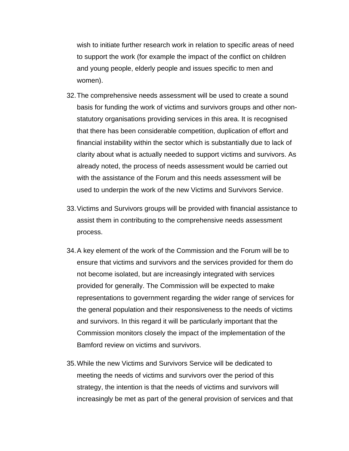wish to initiate further research work in relation to specific areas of need to support the work (for example the impact of the conflict on children and young people, elderly people and issues specific to men and women).

- 32. The comprehensive needs assessment will be used to create a sound basis for funding the work of victims and survivors groups and other nonstatutory organisations providing services in this area. It is recognised that there has been considerable competition, duplication of effort and financial instability within the sector which is substantially due to lack of clarity about what is actually needed to support victims and survivors. As already noted, the process of needs assessment would be carried out with the assistance of the Forum and this needs assessment will be used to underpin the work of the new Victims and Survivors Service.
- 33. Victims and Survivors groups will be provided with financial assistance to assist them in contributing to the comprehensive needs assessment process.
- 34. A key element of the work of the Commission and the Forum will be to ensure that victims and survivors and the services provided for them do not become isolated, but are increasingly integrated with services provided for generally. The Commission will be expected to make representations to government regarding the wider range of services for the general population and their responsiveness to the needs of victims and survivors. In this regard it will be particularly important that the Commission monitors closely the impact of the implementation of the Bamford review on victims and survivors.
- 35. While the new Victims and Survivors Service will be dedicated to meeting the needs of victims and survivors over the period of this strategy, the intention is that the needs of victims and survivors will increasingly be met as part of the general provision of services and that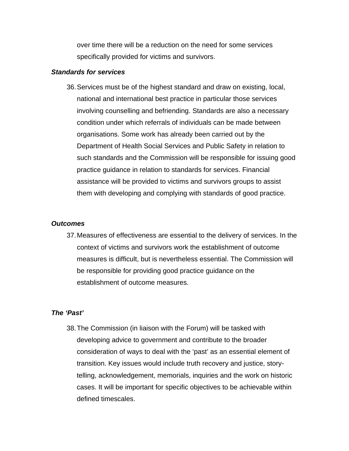over time there will be a reduction on the need for some services specifically provided for victims and survivors.

#### *Standards for services*

36. Services must be of the highest standard and draw on existing, local, national and international best practice in particular those services involving counselling and befriending. Standards are also a necessary condition under which referrals of individuals can be made between organisations. Some work has already been carried out by the Department of Health Social Services and Public Safety in relation to such standards and the Commission will be responsible for issuing good practice guidance in relation to standards for services. Financial assistance will be provided to victims and survivors groups to assist them with developing and complying with standards of good practice.

#### *Outcomes*

37. Measures of effectiveness are essential to the delivery of services. In the context of victims and survivors work the establishment of outcome measures is difficult, but is nevertheless essential. The Commission will be responsible for providing good practice guidance on the establishment of outcome measures.

# *The 'Past'*

38. The Commission (in liaison with the Forum) will be tasked with developing advice to government and contribute to the broader consideration of ways to deal with the 'past' as an essential element of transition. Key issues would include truth recovery and justice, storytelling, acknowledgement, memorials, inquiries and the work on historic cases. It will be important for specific objectives to be achievable within defined timescales.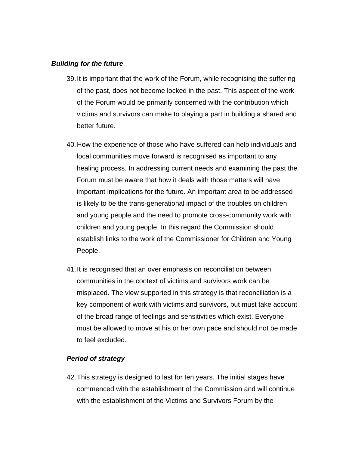#### *Building for the future*

- 39. It is important that the work of the Forum, while recognising the suffering of the past, does not become locked in the past. This aspect of the work of the Forum would be primarily concerned with the contribution which victims and survivors can make to playing a part in building a shared and better future.
- 40. How the experience of those who have suffered can help individuals and local communities move forward is recognised as important to any healing process. In addressing current needs and examining the past the Forum must be aware that how it deals with those matters will have important implications for the future. An important area to be addressed is likely to be the trans-generational impact of the troubles on children and young people and the need to promote cross-community work with children and young people. In this regard the Commission should establish links to the work of the Commissioner for Children and Young People.
- 41. It is recognised that an over emphasis on reconciliation between communities in the context of victims and survivors work can be misplaced. The view supported in this strategy is that reconciliation is a key component of work with victims and survivors, but must take account of the broad range of feelings and sensitivities which exist. Everyone must be allowed to move at his or her own pace and should not be made to feel excluded.

# *Period of strategy*

42. This strategy is designed to last for ten years. The initial stages have commenced with the establishment of the Commission and will continue with the establishment of the Victims and Survivors Forum by the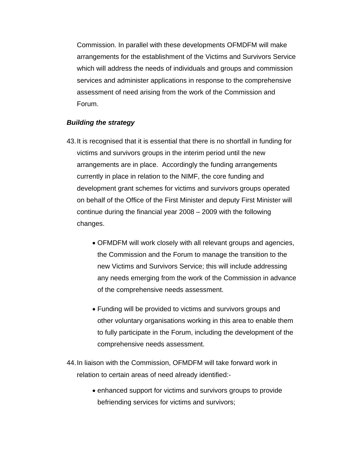Commission. In parallel with these developments OFMDFM will make arrangements for the establishment of the Victims and Survivors Service which will address the needs of individuals and groups and commission services and administer applications in response to the comprehensive assessment of need arising from the work of the Commission and Forum.

### *Building the strategy*

- 43. It is recognised that it is essential that there is no shortfall in funding for victims and survivors groups in the interim period until the new arrangements are in place. Accordingly the funding arrangements currently in place in relation to the NIMF, the core funding and development grant schemes for victims and survivors groups operated on behalf of the Office of the First Minister and deputy First Minister will continue during the financial year 2008 – 2009 with the following changes.
	- OFMDFM will work closely with all relevant groups and agencies, the Commission and the Forum to manage the transition to the new Victims and Survivors Service; this will include addressing any needs emerging from the work of the Commission in advance of the comprehensive needs assessment.
	- Funding will be provided to victims and survivors groups and other voluntary organisations working in this area to enable them to fully participate in the Forum, including the development of the comprehensive needs assessment.
- 44. In liaison with the Commission, OFMDFM will take forward work in relation to certain areas of need already identified:-
	- enhanced support for victims and survivors groups to provide befriending services for victims and survivors;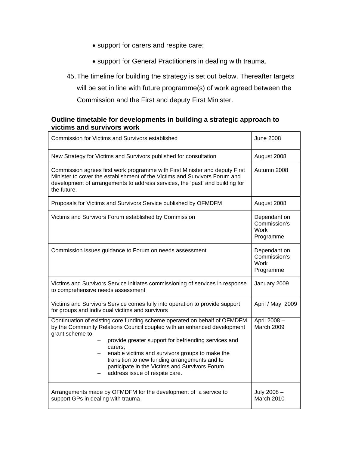- support for carers and respite care;
- support for General Practitioners in dealing with trauma.
- 45. The timeline for building the strategy is set out below. Thereafter targets will be set in line with future programme(s) of work agreed between the Commission and the First and deputy First Minister.

# **Outline timetable for developments in building a strategic approach to victims and survivors work**

| <b>Commission for Victims and Survivors established</b>                                                                                                                                                                                                                                                                                                                                                                             | <b>June 2008</b>                                         |
|-------------------------------------------------------------------------------------------------------------------------------------------------------------------------------------------------------------------------------------------------------------------------------------------------------------------------------------------------------------------------------------------------------------------------------------|----------------------------------------------------------|
| New Strategy for Victims and Survivors published for consultation                                                                                                                                                                                                                                                                                                                                                                   | August 2008                                              |
| Commission agrees first work programme with First Minister and deputy First<br>Minister to cover the establishment of the Victims and Survivors Forum and<br>development of arrangements to address services, the 'past' and building for<br>the future.                                                                                                                                                                            | Autumn 2008                                              |
| Proposals for Victims and Survivors Service published by OFMDFM                                                                                                                                                                                                                                                                                                                                                                     | August 2008                                              |
| Victims and Survivors Forum established by Commission                                                                                                                                                                                                                                                                                                                                                                               | Dependant on<br>Commission's<br>Work<br>Programme        |
| Commission issues guidance to Forum on needs assessment                                                                                                                                                                                                                                                                                                                                                                             | Dependant on<br>Commission's<br><b>Work</b><br>Programme |
| Victims and Survivors Service initiates commissioning of services in response<br>to comprehensive needs assessment                                                                                                                                                                                                                                                                                                                  | January 2009                                             |
| Victims and Survivors Service comes fully into operation to provide support<br>for groups and individual victims and survivors                                                                                                                                                                                                                                                                                                      | April / May 2009                                         |
| Continuation of existing core funding scheme operated on behalf of OFMDFM<br>by the Community Relations Council coupled with an enhanced development<br>grant scheme to<br>provide greater support for befriending services and<br>carers;<br>enable victims and survivors groups to make the<br>transition to new funding arrangements and to<br>participate in the Victims and Survivors Forum.<br>address issue of respite care. | April 2008-<br>March 2009                                |
| Arrangements made by OFMDFM for the development of a service to<br>support GPs in dealing with trauma                                                                                                                                                                                                                                                                                                                               | July 2008-<br>March 2010                                 |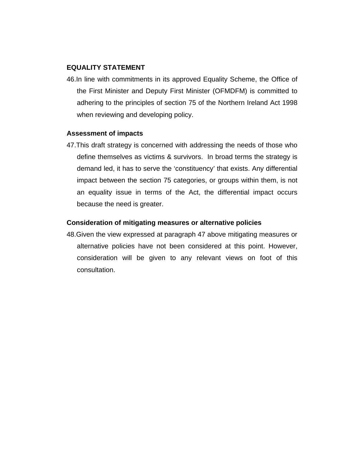#### **EQUALITY STATEMENT**

46.In line with commitments in its approved Equality Scheme, the Office of the First Minister and Deputy First Minister (OFMDFM) is committed to adhering to the principles of section 75 of the Northern Ireland Act 1998 when reviewing and developing policy.

#### **Assessment of impacts**

47.This draft strategy is concerned with addressing the needs of those who define themselves as victims & survivors. In broad terms the strategy is demand led, it has to serve the 'constituency' that exists. Any differential impact between the section 75 categories, or groups within them, is not an equality issue in terms of the Act, the differential impact occurs because the need is greater.

#### **Consideration of mitigating measures or alternative policies**

48.Given the view expressed at paragraph 47 above mitigating measures or alternative policies have not been considered at this point. However, consideration will be given to any relevant views on foot of this consultation.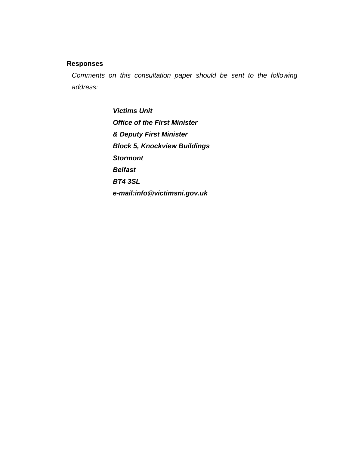# **Responses**

*Comments on this consultation paper should be sent to the following address:* 

> *Victims Unit Office of the First Minister & Deputy First Minister Block 5, Knockview Buildings Stormont Belfast BT4 3SL e-mail:info@victimsni.gov.uk*